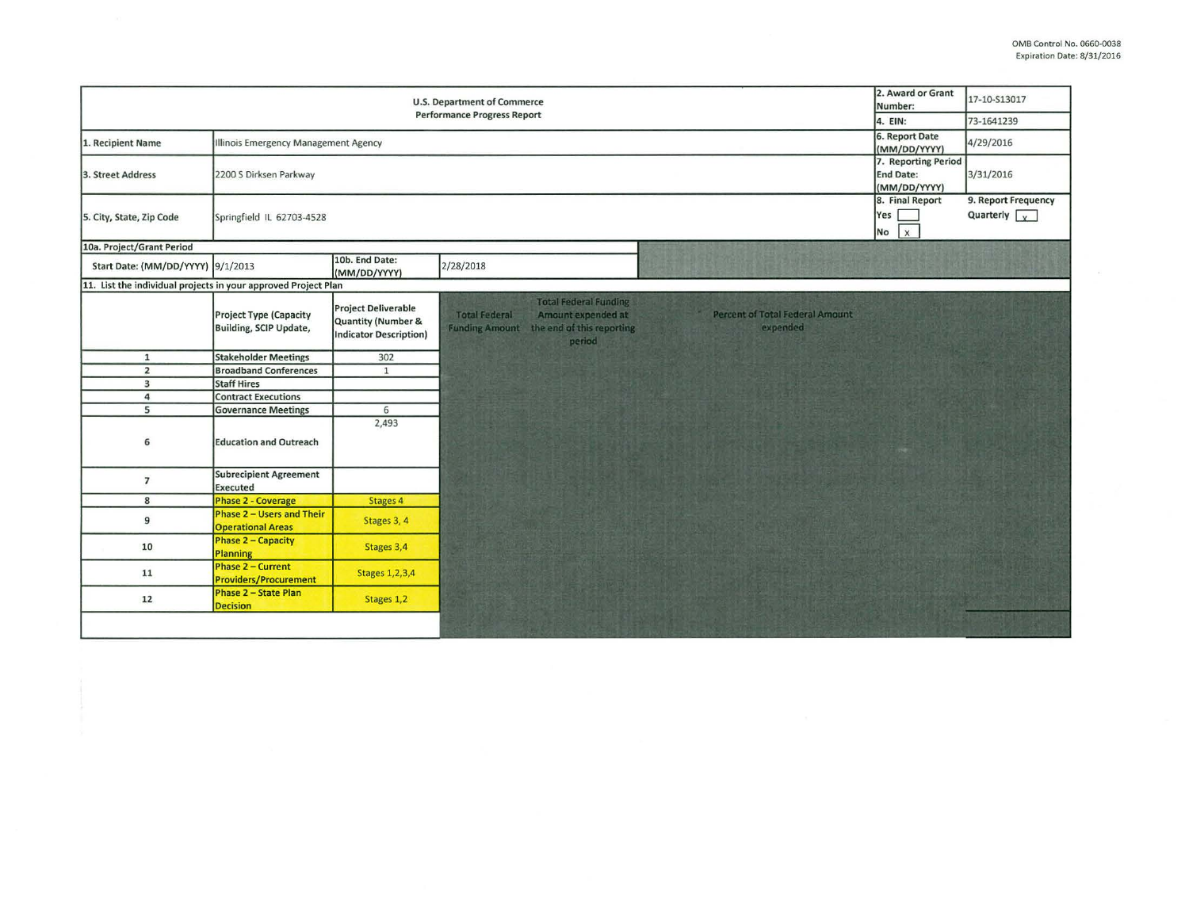| <b>U.S. Department of Commerce</b><br><b>Performance Progress Report</b> |                                                              |                                                                                   |                                                                                                                                                                                        |  | 17-10-S13017 |
|--------------------------------------------------------------------------|--------------------------------------------------------------|-----------------------------------------------------------------------------------|----------------------------------------------------------------------------------------------------------------------------------------------------------------------------------------|--|--------------|
|                                                                          | 4. EIN:                                                      | 73-1641239                                                                        |                                                                                                                                                                                        |  |              |
| 1. Recipient Name                                                        | Illinois Emergency Management Agency                         | 6. Report Date<br>(MM/DD/YYYY)                                                    | 4/29/2016                                                                                                                                                                              |  |              |
| 3. Street Address                                                        | 2200 S Dirksen Parkway                                       | 7. Reporting Period<br>End Date:<br>(MM/DD/YYYY)                                  | 3/31/2016                                                                                                                                                                              |  |              |
| 5. City, State, Zip Code                                                 | Springfield IL 62703-4528                                    | 8. Final Report<br>Yes [<br>$\sqrt{x}$<br>No                                      | 9. Report Frequency<br>Quarterly $\sqrt{\sqrt{2}}$                                                                                                                                     |  |              |
| 10a. Project/Grant Period                                                |                                                              |                                                                                   |                                                                                                                                                                                        |  |              |
| Start Date: (MM/DD/YYYY) 9/1/2013                                        |                                                              | 10b. End Date:<br>(MM/DD/YYYY)                                                    | 2/28/2018                                                                                                                                                                              |  |              |
| 11. List the individual projects in your approved Project Plan           |                                                              |                                                                                   |                                                                                                                                                                                        |  |              |
|                                                                          | <b>Project Type (Capacity</b><br>Building, SCIP Update,      | <b>Project Deliverable</b><br>Quantity (Number &<br><b>Indicator Description)</b> | <b>Total Federal Funding</b><br><b>Percent of Total Federal Amount</b><br><b>Total Federal</b><br>Amount expended at<br>Funding Amount the end of this reporting<br>expended<br>period |  |              |
| $\mathbf{1}$                                                             | <b>Stakeholder Meetings</b>                                  | 302                                                                               |                                                                                                                                                                                        |  |              |
| $\overline{2}$                                                           | <b>Broadband Conferences</b>                                 | $\mathbf{1}$                                                                      |                                                                                                                                                                                        |  |              |
| $\overline{\mathbf{3}}$                                                  | <b>Staff Hires</b>                                           |                                                                                   |                                                                                                                                                                                        |  |              |
| $\overline{a}$                                                           | <b>Contract Executions</b>                                   |                                                                                   |                                                                                                                                                                                        |  |              |
| 5                                                                        | <b>Governance Meetings</b>                                   | 6                                                                                 |                                                                                                                                                                                        |  |              |
| 6                                                                        | <b>Education and Outreach</b>                                | 2,493                                                                             |                                                                                                                                                                                        |  |              |
| $\overline{7}$                                                           | <b>Subrecipient Agreement</b><br>Executed                    |                                                                                   |                                                                                                                                                                                        |  |              |
| 8                                                                        | <b>Phase 2 - Coverage</b>                                    | Stages 4                                                                          |                                                                                                                                                                                        |  |              |
| 9                                                                        | <b>Phase 2 - Users and Their</b><br><b>Operational Areas</b> | Stages 3, 4                                                                       |                                                                                                                                                                                        |  |              |
| 10                                                                       | <b>Phase 2 - Capacity</b><br>Planning                        | Stages 3,4                                                                        |                                                                                                                                                                                        |  |              |
| 11                                                                       | <b>Phase 2 - Current</b><br><b>Providers/Procurement</b>     | <b>Stages 1,2,3,4</b>                                                             |                                                                                                                                                                                        |  |              |
| 12                                                                       | <b>Phase 2 - State Plan</b><br><b>Decision</b>               | Stages 1,2                                                                        |                                                                                                                                                                                        |  |              |
|                                                                          |                                                              |                                                                                   |                                                                                                                                                                                        |  |              |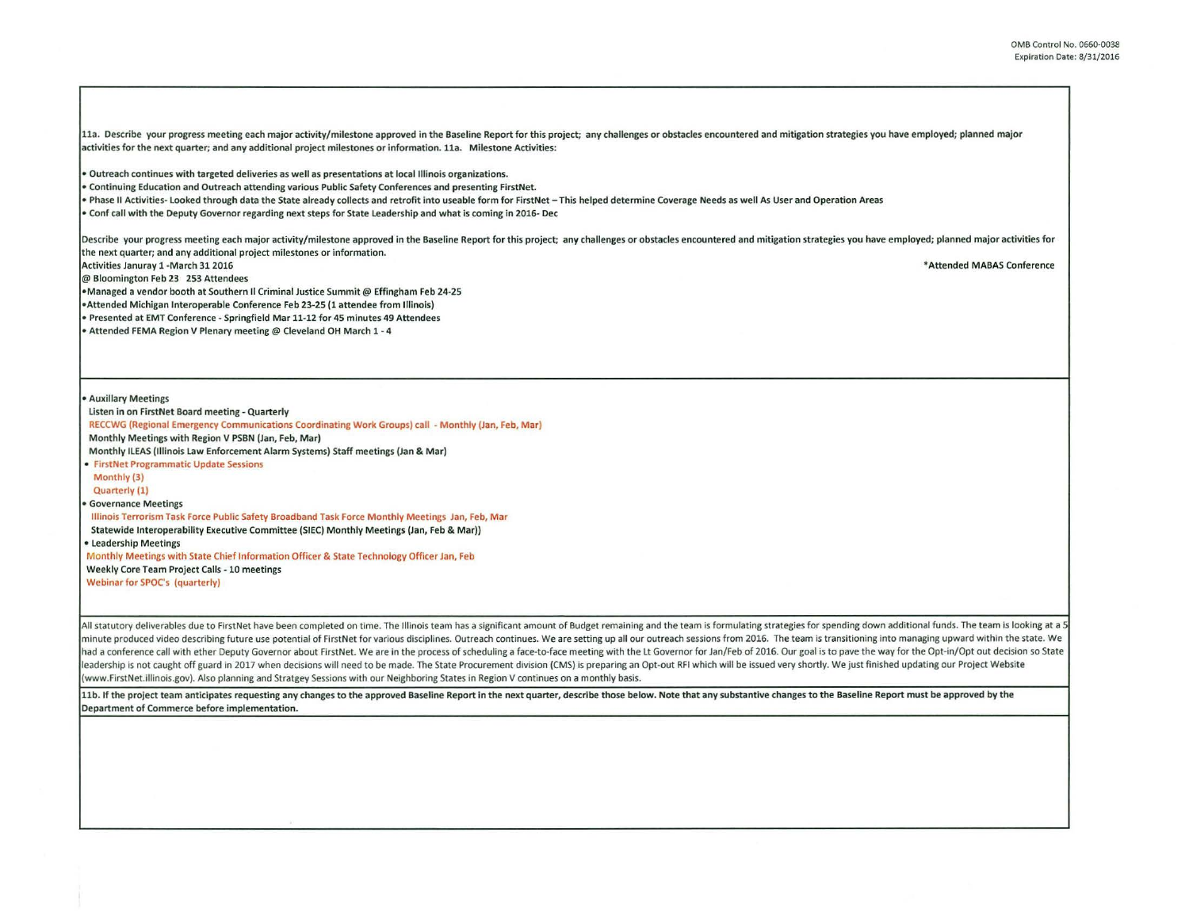11a. Describe your progress meeting each major activity/milestone approved in the Baseline Report for this project; any challenges or obstacles encountered and mitigation strategies you have employed; planned major activities for the next quarter; and any additional project milestones or information. lla. Milestone Activities:

• Outreach continues with targeted deliveries as well as presentations at local Illinois organizations.

• Continuing Education and Outreach attending various Public Safety Conferences and presenting FirstNet.

• Phase II Activities- Looked through data the State already collects and retrofit into useable form for FirstNet-This helped determine Coverage Needs as well As User and Operation Areas

• Conf call with the Deputy Governor regarding next steps for State Leadership and what is coming in 2016· Dec

Describe your progress meeting each major activity/milestone approved in the Baseline Report for this project; any challenges or obstacles encountered and mitigation strategies you have employed; planned major activities f the next quarter; and any additional project milestones or information.

Activities Januray 1 -March 31 2016 \* Attended MABAS Conference

@ Bloomington Feb 23 253 Attendees

•Managed a vendor booth at Southern II Criminal Justice Summit@ Effingham Feb 24·25

•Attended Michigan Interoperable Conference Feb 23-25 (1 attendee from Illinois)

• Presented at EMT Conference · Springfield Mar 11·12 for 45 minutes 49 Attendees

• Attended FEMA Region V Plenary meeting @ Cleveland OH March 1 - 4

• Auxillary Meetings

Listen in on FirstNet Board meeting· Quarterly

RECCWG (Regional Emergency Communications Coordinating Work Groups) call · Monthly (Jan, Feb, Mar)

Monthly Meetings with Region V PSBN (Jan, Feb, Mar)

Monthly ILEAS {Illinois Law Enforcement Alarm Systems) Staff meetings (Jan & Mar)

• FirstNet Programmatic Update Sessoons

Monthly {3)

Quarterly {1)

• Governance Meetings

Illinois Terrorism Task Force Public Safety Broadband Task Force Monthly Meetings Jan, Feb, Mar

Statewide lnteroperability Executive Committee {SIEC) Monthly Meetings (Jan, Feb & Mar))

• Leadership Meetings

Monthly Meetings with State Chief Information Officer & State Technology Officer Jan, Feb

Weekly Core Team Project Calls - 10 meetings

Webinar for SPOC's (quarterly)

All statutory deliverables due to FirstNet have been completed on time. The Illinois team has a significant amount of Budget remaining and the team is formulating strategies for spending down additional funds. The team is minute produced video describing future use potential of FirstNet for various disciplines. Outreach continues. We are setting up all our outreach sessions from 2016. The team is transitioning into managing upward within th had a conference call with ether Deputy Governor about FirstNet. We are in the process of scheduling a face-to-face meeting with the Lt Governor for Jan/Feb of 2016. Our goal is to pave the way for the Opt-in/Opt out decis leadership is not caught off guard in 2017 when decisions will need to be made. The State Procurement division (CMS) is preparing an Opt-out RFI which will be issued very shortly. We just finished updating our Project Webs (www.FirstNet.illinois.gov). Also planning and Stratgey Sessions with our Neighboring States in Region V continues on a monthly basis.

11b. If the project team anticipates requesting any changes to the approved Baseline Report in the next quarter, describe those below. Note that any substantive changes to the Baseline Report must be approved by the Department of Commerce before implementation.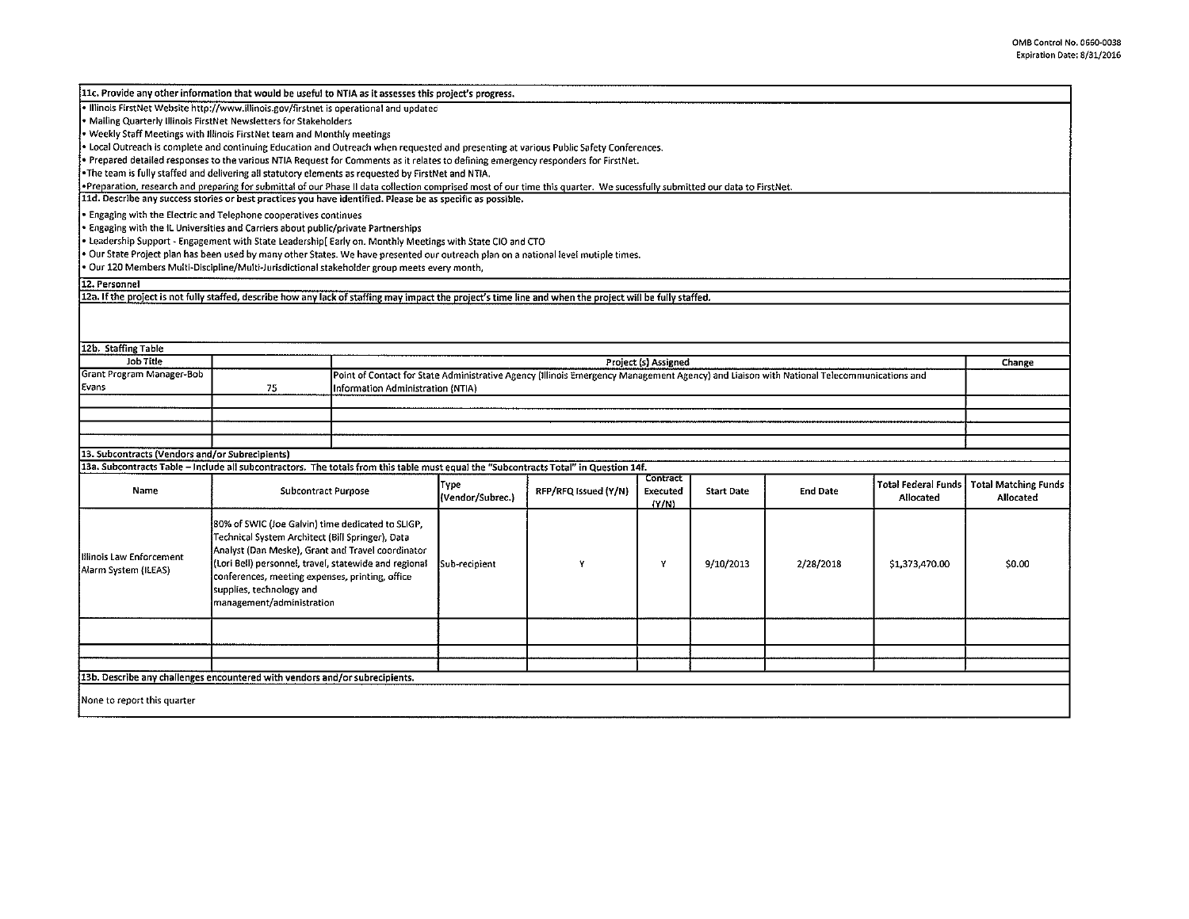| 11c. Provide any other information that would be useful to NTIA as it assesses this project's progress.                                                                    |                                                                                                                                                                                                                                                                                                                                  |                                                                                                                                          |                          |                      |                               |                   |                 |                                         |                                          |
|----------------------------------------------------------------------------------------------------------------------------------------------------------------------------|----------------------------------------------------------------------------------------------------------------------------------------------------------------------------------------------------------------------------------------------------------------------------------------------------------------------------------|------------------------------------------------------------------------------------------------------------------------------------------|--------------------------|----------------------|-------------------------------|-------------------|-----------------|-----------------------------------------|------------------------------------------|
| · Illinois FirstNet Website http://www.illinois.gov/firstnet is operational and updated                                                                                    |                                                                                                                                                                                                                                                                                                                                  |                                                                                                                                          |                          |                      |                               |                   |                 |                                         |                                          |
| . Mailing Quarterly Illinois FirstNet Newsletters for Stakeholders                                                                                                         |                                                                                                                                                                                                                                                                                                                                  |                                                                                                                                          |                          |                      |                               |                   |                 |                                         |                                          |
| • Weekly Staff Meetings with Illinois FirstNet team and Monthly meetings                                                                                                   |                                                                                                                                                                                                                                                                                                                                  |                                                                                                                                          |                          |                      |                               |                   |                 |                                         |                                          |
| . Local Outreach is complete and continuing Education and Outreach when requested and presenting at various Public Safety Conferences.                                     |                                                                                                                                                                                                                                                                                                                                  |                                                                                                                                          |                          |                      |                               |                   |                 |                                         |                                          |
| . Prepared detailed responses to the various NTIA Request for Comments as it relates to defining emergency responders for FirstNet.                                        |                                                                                                                                                                                                                                                                                                                                  |                                                                                                                                          |                          |                      |                               |                   |                 |                                         |                                          |
| The team is fully staffed and delivering all statutory elements as requested by FirstNet and NTIA.                                                                         |                                                                                                                                                                                                                                                                                                                                  |                                                                                                                                          |                          |                      |                               |                   |                 |                                         |                                          |
| .Preparation, research and preparing for submittal of our Phase II data collection comprised most of our time this quarter. We sucessfully submitted our data to FirstNet. |                                                                                                                                                                                                                                                                                                                                  |                                                                                                                                          |                          |                      |                               |                   |                 |                                         |                                          |
| 11d. Describe any success stories or best practices you have identified. Please be as specific as possible.                                                                |                                                                                                                                                                                                                                                                                                                                  |                                                                                                                                          |                          |                      |                               |                   |                 |                                         |                                          |
| • Engaging with the Electric and Telephone cooperatives continues                                                                                                          |                                                                                                                                                                                                                                                                                                                                  |                                                                                                                                          |                          |                      |                               |                   |                 |                                         |                                          |
| * Engaging with the IL Universities and Carriers about public/private Partnerships                                                                                         |                                                                                                                                                                                                                                                                                                                                  |                                                                                                                                          |                          |                      |                               |                   |                 |                                         |                                          |
| . Leadership Support - Engagement with State Leadership[ Early on. Monthly Meetings with State CIO and CTO                                                                 |                                                                                                                                                                                                                                                                                                                                  |                                                                                                                                          |                          |                      |                               |                   |                 |                                         |                                          |
| . Our State Project plan has been used by many other States. We have presented our outreach plan on a national level mutiple times.                                        |                                                                                                                                                                                                                                                                                                                                  |                                                                                                                                          |                          |                      |                               |                   |                 |                                         |                                          |
| · Our 120 Members Multi-Discipline/Multi-Jurisdictional stakeholder group meets every month,                                                                               |                                                                                                                                                                                                                                                                                                                                  |                                                                                                                                          |                          |                      |                               |                   |                 |                                         |                                          |
| 12. Personnel                                                                                                                                                              |                                                                                                                                                                                                                                                                                                                                  |                                                                                                                                          |                          |                      |                               |                   |                 |                                         |                                          |
| 12a. If the project is not fully staffed, describe how any lack of staffing may impact the project's time line and when the project will be fully staffed.                 |                                                                                                                                                                                                                                                                                                                                  |                                                                                                                                          |                          |                      |                               |                   |                 |                                         |                                          |
|                                                                                                                                                                            |                                                                                                                                                                                                                                                                                                                                  |                                                                                                                                          |                          |                      |                               |                   |                 |                                         |                                          |
| 12b. Staffing Table                                                                                                                                                        |                                                                                                                                                                                                                                                                                                                                  |                                                                                                                                          |                          |                      |                               |                   |                 |                                         |                                          |
| Job Title                                                                                                                                                                  |                                                                                                                                                                                                                                                                                                                                  | Project (s) Assigned<br>Change                                                                                                           |                          |                      |                               |                   |                 |                                         |                                          |
| Grant Program Manager-Bob                                                                                                                                                  |                                                                                                                                                                                                                                                                                                                                  | Point of Contact for State Administrative Agency (Illinois Emergency Management Agency) and Liaison with National Telecommunications and |                          |                      |                               |                   |                 |                                         |                                          |
| Evans                                                                                                                                                                      | 75                                                                                                                                                                                                                                                                                                                               | nformation Administration (NTIA)                                                                                                         |                          |                      |                               |                   |                 |                                         |                                          |
|                                                                                                                                                                            |                                                                                                                                                                                                                                                                                                                                  |                                                                                                                                          |                          |                      |                               |                   |                 |                                         |                                          |
|                                                                                                                                                                            |                                                                                                                                                                                                                                                                                                                                  |                                                                                                                                          |                          |                      |                               |                   |                 |                                         |                                          |
|                                                                                                                                                                            |                                                                                                                                                                                                                                                                                                                                  |                                                                                                                                          |                          |                      |                               |                   |                 |                                         |                                          |
|                                                                                                                                                                            |                                                                                                                                                                                                                                                                                                                                  |                                                                                                                                          |                          |                      |                               |                   |                 |                                         |                                          |
| 13. Subcontracts (Vendors and/or Subrecipients)                                                                                                                            |                                                                                                                                                                                                                                                                                                                                  |                                                                                                                                          |                          |                      |                               |                   |                 |                                         |                                          |
| 13a. Subcontracts Table - include all subcontractors. The totals from this table must equal the "Subcontracts Total" in Question 14f.                                      |                                                                                                                                                                                                                                                                                                                                  |                                                                                                                                          |                          |                      |                               |                   |                 |                                         |                                          |
| Name                                                                                                                                                                       | <b>Subcontract Purpose</b>                                                                                                                                                                                                                                                                                                       |                                                                                                                                          | Type<br>(Vendor/Subrec.) | RFP/RFQ Issued (Y/N) | Contract<br>Executed<br>(Y/N) | <b>Start Date</b> | <b>End Date</b> | <b>Total Federal Funds</b><br>Allocated | <b>Total Matching Funds</b><br>Allocated |
| Illinois Law Enforcement<br>Alarm System (ILEAS)                                                                                                                           | [80% of SWIC (Joe Galvin) time dedicated to SLIGP,<br>Technical System Architect (Bill Springer), Data<br>Analyst (Dan Meske), Grant and Travel coordinator<br>(Lori Bell) personnel, travel, statewide and regional<br>conferences, meeting expenses, printing, office<br>supplies, technology and<br>management/administration |                                                                                                                                          | Sub-recipient            | Y                    | Y                             | 9/10/2013         | 2/28/2018       | \$1,373,470.00                          | \$0.00                                   |
|                                                                                                                                                                            |                                                                                                                                                                                                                                                                                                                                  |                                                                                                                                          |                          |                      |                               |                   |                 |                                         |                                          |
|                                                                                                                                                                            |                                                                                                                                                                                                                                                                                                                                  |                                                                                                                                          |                          |                      |                               |                   |                 |                                         |                                          |
| 13b. Describe any challenges encountered with vendors and/or subrecipients.                                                                                                |                                                                                                                                                                                                                                                                                                                                  |                                                                                                                                          |                          |                      |                               |                   |                 |                                         |                                          |
|                                                                                                                                                                            |                                                                                                                                                                                                                                                                                                                                  |                                                                                                                                          |                          |                      |                               |                   |                 |                                         |                                          |
| None to report this quarter                                                                                                                                                |                                                                                                                                                                                                                                                                                                                                  |                                                                                                                                          |                          |                      |                               |                   |                 |                                         |                                          |